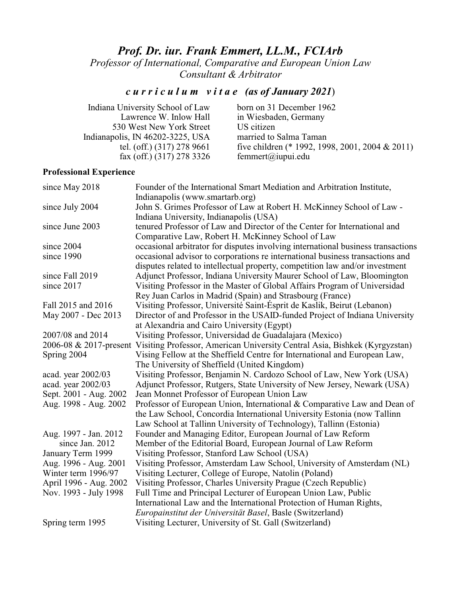# *Prof. Dr. iur. Frank Emmert, LL.M., FCIArb*

*Professor of International, Comparative and European Union Law Consultant & Arbitrator*

# *c u r r i c u l u m v i t a e (as of January 2021*)

| born on 31 December 1962                        |
|-------------------------------------------------|
| in Wiesbaden, Germany                           |
| US citizen                                      |
| married to Salma Taman                          |
| five children (* 1992, 1998, 2001, 2004 & 2011) |
| femmert@iupui.edu                               |
|                                                 |

# **Professional Experience**

| since May 2018            | Founder of the International Smart Mediation and Arbitration Institute,          |
|---------------------------|----------------------------------------------------------------------------------|
|                           | Indianapolis (www.smartarb.org)                                                  |
| since July 2004           | John S. Grimes Professor of Law at Robert H. McKinney School of Law -            |
|                           | Indiana University, Indianapolis (USA)                                           |
| since June 2003           | tenured Professor of Law and Director of the Center for International and        |
|                           | Comparative Law, Robert H. McKinney School of Law                                |
| since 2004                | occasional arbitrator for disputes involving international business transactions |
| since 1990                | occasional advisor to corporations re international business transactions and    |
|                           | disputes related to intellectual property, competition law and/or investment     |
| since Fall 2019           | Adjunct Professor, Indiana University Maurer School of Law, Bloomington          |
| since 2017                | Visiting Professor in the Master of Global Affairs Program of Universidad        |
|                           | Rey Juan Carlos in Madrid (Spain) and Strasbourg (France)                        |
| Fall 2015 and 2016        | Visiting Professor, Université Saint-Ésprit de Kaslik, Beirut (Lebanon)          |
| May 2007 - Dec 2013       | Director of and Professor in the USAID-funded Project of Indiana University      |
|                           | at Alexandria and Cairo University (Egypt)                                       |
| 2007/08 and 2014          | Visiting Professor, Universidad de Guadalajara (Mexico)                          |
| 2006-08 $& 2017$ -present | Visiting Professor, American University Central Asia, Bishkek (Kyrgyzstan)       |
| Spring 2004               | Vising Fellow at the Sheffield Centre for International and European Law,        |
|                           | The University of Sheffield (United Kingdom)                                     |
| acad. year 2002/03        | Visiting Professor, Benjamin N. Cardozo School of Law, New York (USA)            |
| acad. year 2002/03        | Adjunct Professor, Rutgers, State University of New Jersey, Newark (USA)         |
| Sept. 2001 - Aug. 2002    | Jean Monnet Professor of European Union Law                                      |
| Aug. 1998 - Aug. 2002     | Professor of European Union, International & Comparative Law and Dean of         |
|                           | the Law School, Concordia International University Estonia (now Tallinn          |
|                           | Law School at Tallinn University of Technology), Tallinn (Estonia)               |
| Aug. 1997 - Jan. 2012     | Founder and Managing Editor, European Journal of Law Reform                      |
| since Jan. 2012           | Member of the Editorial Board, European Journal of Law Reform                    |
| January Term 1999         | Visiting Professor, Stanford Law School (USA)                                    |
| Aug. 1996 - Aug. 2001     | Visiting Professor, Amsterdam Law School, University of Amsterdam (NL)           |
| Winter term 1996/97       | Visiting Lecturer, College of Europe, Natolin (Poland)                           |
| April 1996 - Aug. 2002    | Visiting Professor, Charles University Prague (Czech Republic)                   |
| Nov. 1993 - July 1998     | Full Time and Principal Lecturer of European Union Law, Public                   |
|                           | International Law and the International Protection of Human Rights,              |
|                           | Europainstitut der Universität Basel, Basle (Switzerland)                        |
| Spring term 1995          | Visiting Lecturer, University of St. Gall (Switzerland)                          |
|                           |                                                                                  |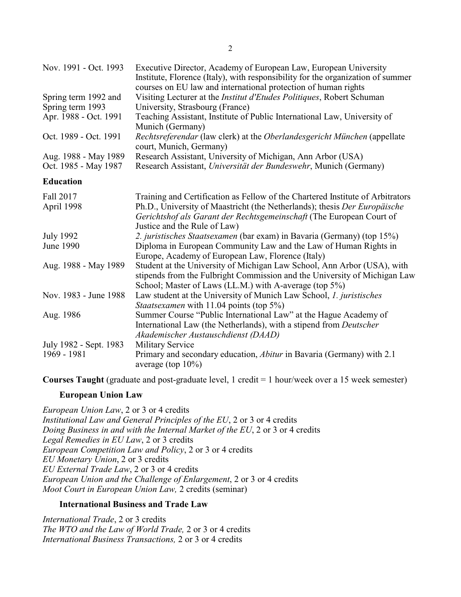| Nov. 1991 - Oct. 1993  | Executive Director, Academy of European Law, European University<br>Institute, Florence (Italy), with responsibility for the organization of summer<br>courses on EU law and international protection of human rights |
|------------------------|-----------------------------------------------------------------------------------------------------------------------------------------------------------------------------------------------------------------------|
| Spring term 1992 and   | Visiting Lecturer at the <i>Institut d'Etudes Politiques</i> , Robert Schuman                                                                                                                                         |
| Spring term 1993       | University, Strasbourg (France)                                                                                                                                                                                       |
| Apr. 1988 - Oct. 1991  | Teaching Assistant, Institute of Public International Law, University of<br>Munich (Germany)                                                                                                                          |
| Oct. 1989 - Oct. 1991  | Rechtsreferendar (law clerk) at the Oberlandesgericht München (appellate<br>court, Munich, Germany)                                                                                                                   |
| Aug. 1988 - May 1989   | Research Assistant, University of Michigan, Ann Arbor (USA)                                                                                                                                                           |
| Oct. 1985 - May 1987   | Research Assistant, Universität der Bundeswehr, Munich (Germany)                                                                                                                                                      |
| <b>Education</b>       |                                                                                                                                                                                                                       |
| Fall 2017              | Training and Certification as Fellow of the Chartered Institute of Arbitrators                                                                                                                                        |
| April 1998             | Ph.D., University of Maastricht (the Netherlands); thesis Der Europäische                                                                                                                                             |
|                        | Gerichtshof als Garant der Rechtsgemeinschaft (The European Court of<br>Justice and the Rule of Law)                                                                                                                  |
| <b>July 1992</b>       | 2. juristisches Staatsexamen (bar exam) in Bavaria (Germany) (top 15%)                                                                                                                                                |
| June 1990              | Diploma in European Community Law and the Law of Human Rights in<br>Europe, Academy of European Law, Florence (Italy)                                                                                                 |
| Aug. 1988 - May 1989   | Student at the University of Michigan Law School, Ann Arbor (USA), with                                                                                                                                               |
|                        | stipends from the Fulbright Commission and the University of Michigan Law                                                                                                                                             |
|                        | School; Master of Laws (LL.M.) with A-average (top 5%)                                                                                                                                                                |
| Nov. 1983 - June 1988  | Law student at the University of Munich Law School, 1. juristisches<br><i>Staatsexamen</i> with 11.04 points (top 5%)                                                                                                 |
| Aug. 1986              | Summer Course "Public International Law" at the Hague Academy of                                                                                                                                                      |
|                        | International Law (the Netherlands), with a stipend from <i>Deutscher</i>                                                                                                                                             |
|                        | Akademischer Austauschdienst (DAAD)                                                                                                                                                                                   |
| July 1982 - Sept. 1983 | <b>Military Service</b>                                                                                                                                                                                               |
| 1969 - 1981            | Primary and secondary education, Abitur in Bavaria (Germany) with 2.1<br>average (top $10\%$ )                                                                                                                        |

**Courses Taught** (graduate and post-graduate level, 1 credit = 1 hour/week over a 15 week semester)

## **European Union Law**

*European Union Law*, 2 or 3 or 4 credits *Institutional Law and General Principles of the EU*, 2 or 3 or 4 credits *Doing Business in and with the Internal Market of the EU*, 2 or 3 or 4 credits *Legal Remedies in EU Law*, 2 or 3 credits *European Competition Law and Policy*, 2 or 3 or 4 credits *EU Monetary Union*, 2 or 3 credits *EU External Trade Law*, 2 or 3 or 4 credits *European Union and the Challenge of Enlargement*, 2 or 3 or 4 credits *Moot Court in European Union Law,* 2 credits (seminar)

## **International Business and Trade Law**

*International Trade*, 2 or 3 credits *The WTO and the Law of World Trade,* 2 or 3 or 4 credits *International Business Transactions,* 2 or 3 or 4 credits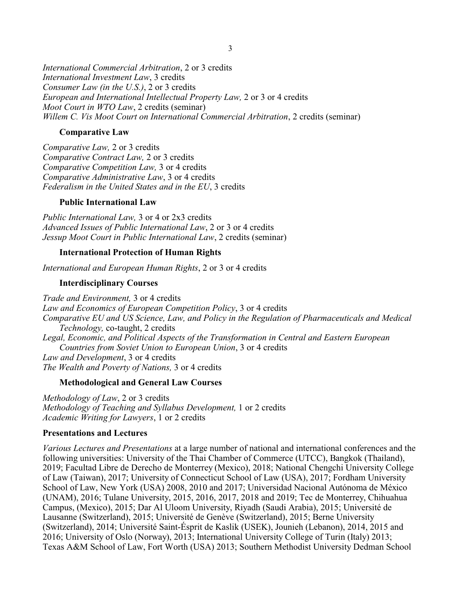*International Commercial Arbitration*, 2 or 3 credits *International Investment Law*, 3 credits *Consumer Law (in the U.S.)*, 2 or 3 credits *European and International Intellectual Property Law,* 2 or 3 or 4 credits *Moot Court in WTO Law*, 2 credits (seminar) *Willem C. Vis Moot Court on International Commercial Arbitration*, 2 credits (seminar)

### **Comparative Law**

*Comparative Law,* 2 or 3 credits *Comparative Contract Law,* 2 or 3 credits *Comparative Competition Law,* 3 or 4 credits *Comparative Administrative Law*, 3 or 4 credits *Federalism in the United States and in the EU*, 3 credits

## **Public International Law**

*Public International Law,* 3 or 4 or 2x3 credits *Advanced Issues of Public International Law*, 2 or 3 or 4 credits *Jessup Moot Court in Public International Law*, 2 credits (seminar)

## **International Protection of Human Rights**

*International and European Human Rights*, 2 or 3 or 4 credits

### **Interdisciplinary Courses**

*Trade and Environment,* 3 or 4 credits *Law and Economics of European Competition Policy*, 3 or 4 credits *Comparative EU and US Science, Law, and Policy in the Regulation of Pharmaceuticals and Medical Technology,* co-taught, 2 credits *Legal, Economic, and Political Aspects of the Transformation in Central and Eastern European Countries from Soviet Union to European Union*, 3 or 4 credits *Law and Development*, 3 or 4 credits *The Wealth and Poverty of Nations,* 3 or 4 credits

### **Methodological and General Law Courses**

*Methodology of Law*, 2 or 3 credits *Methodology of Teaching and Syllabus Development,* 1 or 2 credits *Academic Writing for Lawyers*, 1 or 2 credits

### **Presentations and Lectures**

*Various Lectures and Presentations* at a large number of national and international conferences and the following universities: University of the Thai Chamber of Commerce (UTCC), Bangkok (Thailand), 2019; Facultad Libre de Derecho de Monterrey (Mexico), 2018; National Chengchi University College of Law (Taiwan), 2017; University of Connecticut School of Law (USA), 2017; Fordham University School of Law, New York (USA) 2008, 2010 and 2017; Universidad Nacional Autónoma de México (UNAM), 2016; Tulane University, 2015, 2016, 2017, 2018 and 2019; Tec de Monterrey, Chihuahua Campus, (Mexico), 2015; Dar Al Uloom University, Riyadh (Saudi Arabia), 2015; Université de Lausanne (Switzerland), 2015; Université de Genève (Switzerland), 2015; Berne University (Switzerland), 2014; Université Saint-Ésprit de Kaslik (USEK), Jounieh (Lebanon), 2014, 2015 and 2016; University of Oslo (Norway), 2013; International University College of Turin (Italy) 2013; Texas A&M School of Law, Fort Worth (USA) 2013; Southern Methodist University Dedman School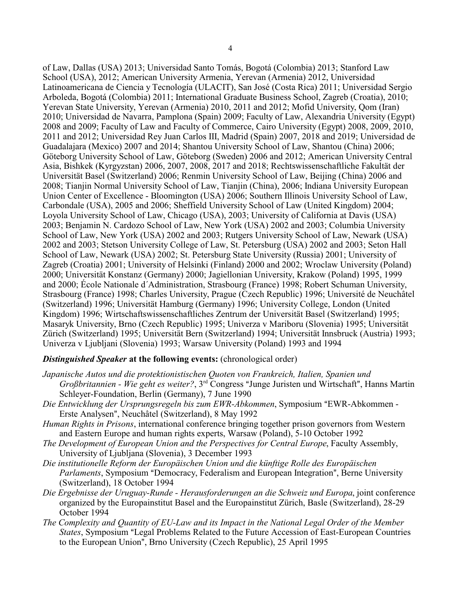of Law, Dallas (USA) 2013; Universidad Santo Tomás, Bogotá (Colombia) 2013; Stanford Law School (USA), 2012; American University Armenia, Yerevan (Armenia) 2012, Universidad Latinoamericana de Ciencia y Tecnología (ULACIT), San José (Costa Rica) 2011; Universidad Sergio Arboleda, Bogotá (Colombia) 2011; International Graduate Business School, Zagreb (Croatia), 2010; Yerevan State University, Yerevan (Armenia) 2010, 2011 and 2012; Mofid University, Qom (Iran) 2010; Universidad de Navarra, Pamplona (Spain) 2009; Faculty of Law, Alexandria University (Egypt) 2008 and 2009; Faculty of Law and Faculty of Commerce, Cairo University (Egypt) 2008, 2009, 2010, 2011 and 2012; Universidad Rey Juan Carlos III, Madrid (Spain) 2007, 2018 and 2019; Universidad de Guadalajara (Mexico) 2007 and 2014; Shantou University School of Law, Shantou (China) 2006; Göteborg University School of Law, Göteborg (Sweden) 2006 and 2012; American University Central Asia, Bishkek (Kyrgyzstan) 2006, 2007, 2008, 2017 and 2018; Rechtswissenschaftliche Fakultät der Universität Basel (Switzerland) 2006; Renmin University School of Law, Beijing (China) 2006 and 2008; Tianjin Normal University School of Law, Tianjin (China), 2006; Indiana University European Union Center of Excellence - Bloomington (USA) 2006; Southern Illinois University School of Law, Carbondale (USA), 2005 and 2006; Sheffield University School of Law (United Kingdom) 2004; Loyola University School of Law, Chicago (USA), 2003; University of California at Davis (USA) 2003; Benjamin N. Cardozo School of Law, New York (USA) 2002 and 2003; Columbia University School of Law, New York (USA) 2002 and 2003; Rutgers University School of Law, Newark (USA) 2002 and 2003; Stetson University College of Law, St. Petersburg (USA) 2002 and 2003; Seton Hall School of Law, Newark (USA) 2002; St. Petersburg State University (Russia) 2001; University of Zagreb (Croatia) 2001; University of Helsinki (Finland) 2000 and 2002; Wroclaw University (Poland) 2000; Universität Konstanz (Germany) 2000; Jagiellonian University, Krakow (Poland) 1995, 1999 and 2000; École Nationale d´Administration, Strasbourg (France) 1998; Robert Schuman University, Strasbourg (France) 1998; Charles University, Prague (Czech Republic) 1996; Université de Neuchâtel (Switzerland) 1996; Universität Hamburg (Germany) 1996; University College, London (United Kingdom) 1996; Wirtschaftswissenschaftliches Zentrum der Universität Basel (Switzerland) 1995; Masaryk University, Brno (Czech Republic) 1995; Univerza v Mariboru (Slovenia) 1995; Universität Zürich (Switzerland) 1995; Universität Bern (Switzerland) 1994; Universität Innsbruck (Austria) 1993; Univerza v Ljubljani (Slovenia) 1993; Warsaw University (Poland) 1993 and 1994

### *Distinguished Speaker* **at the following events:** (chronological order)

- *Japanische Autos und die protektionistischen Quoten von Frankreich, Italien, Spanien und* Großbritannien - Wie geht es weiter?, 3<sup>rd</sup> Congress "Junge Juristen und Wirtschaft", Hanns Martin Schleyer-Foundation, Berlin (Germany), 7 June 1990
- *Die Entwicklung der Ursprungsregeln bis zum EWR-Abkommen*, Symposium "EWR-Abkommen -Erste Analysen", Neuchâtel (Switzerland), 8 May 1992
- *Human Rights in Prisons*, international conference bringing together prison governors from Western and Eastern Europe and human rights experts, Warsaw (Poland), 5-10 October 1992
- *The Development of European Union and the Perspectives for Central Europe*, Faculty Assembly, University of Ljubljana (Slovenia), 3 December 1993
- *Die institutionelle Reform der Europäischen Union und die künftige Rolle des Europäischen Parlaments*, Symposium "Democracy, Federalism and European Integration", Berne University (Switzerland), 18 October 1994
- *Die Ergebnisse der Uruguay-Runde Herausforderungen an die Schweiz und Europa*, joint conference organized by the Europainstitut Basel and the Europainstitut Zürich, Basle (Switzerland), 28-29 October 1994
- *The Complexity and Quantity of EU-Law and its Impact in the National Legal Order of the Member States*, Symposium "Legal Problems Related to the Future Accession of East-European Countries to the European Union", Brno University (Czech Republic), 25 April 1995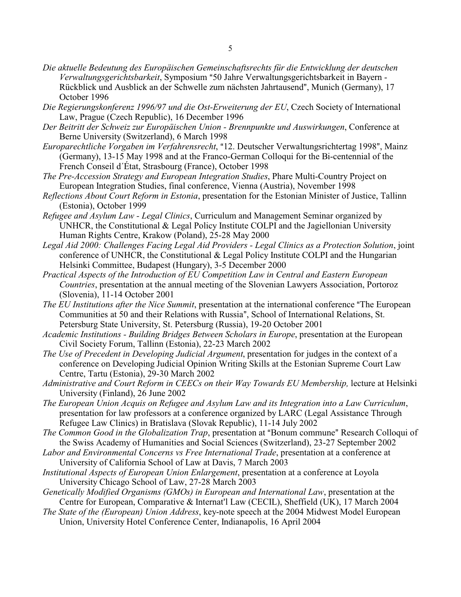- *Die aktuelle Bedeutung des Europäischen Gemeinschaftsrechts für die Entwicklung der deutschen Verwaltungsgerichtsbarkeit*, Symposium "50 Jahre Verwaltungsgerichtsbarkeit in Bayern -Rückblick und Ausblick an der Schwelle zum nächsten Jahrtausend", Munich (Germany), 17 October 1996
- *Die Regierungskonferenz 1996/97 und die Ost-Erweiterung der EU*, Czech Society of International Law, Prague (Czech Republic), 16 December 1996
- *Der Beitritt der Schweiz zur Europäischen Union Brennpunkte und Auswirkungen*, Conference at Berne University (Switzerland), 6 March 1998
- *Europarechtliche Vorgaben im Verfahrensrecht*, "12. Deutscher Verwaltungsrichtertag 1998", Mainz (Germany), 13-15 May 1998 and at the Franco-German Colloqui for the Bi-centennial of the French Conseil d´État, Strasbourg (France), October 1998
- *The Pre-Accession Strategy and European Integration Studies*, Phare Multi-Country Project on European Integration Studies, final conference, Vienna (Austria), November 1998
- *Reflections About Court Reform in Estonia*, presentation for the Estonian Minister of Justice, Tallinn (Estonia), October 1999
- *Refugee and Asylum Law Legal Clinics*, Curriculum and Management Seminar organized by UNHCR, the Constitutional & Legal Policy Institute COLPI and the Jagiellonian University Human Rights Centre, Krakow (Poland), 25-28 May 2000
- *Legal Aid 2000: Challenges Facing Legal Aid Providers Legal Clinics as a Protection Solution*, joint conference of UNHCR, the Constitutional & Legal Policy Institute COLPI and the Hungarian Helsinki Committee, Budapest (Hungary), 3-5 December 2000
- *Practical Aspects of the Introduction of EU Competition Law in Central and Eastern European Countries*, presentation at the annual meeting of the Slovenian Lawyers Association, Portoroz (Slovenia), 11-14 October 2001
- *The EU Institutions after the Nice Summit*, presentation at the international conference "The European" Communities at 50 and their Relations with Russia", School of International Relations, St. Petersburg State University, St. Petersburg (Russia), 19-20 October 2001
- *Academic Institutions Building Bridges Between Scholars in Europe*, presentation at the European Civil Society Forum, Tallinn (Estonia), 22-23 March 2002
- *The Use of Precedent in Developing Judicial Argument*, presentation for judges in the context of a conference on Developing Judicial Opinion Writing Skills at the Estonian Supreme Court Law Centre, Tartu (Estonia), 29-30 March 2002
- *Administrative and Court Reform in CEECs on their Way Towards EU Membership,* lecture at Helsinki University (Finland), 26 June 2002
- *The European Union Acquis on Refugee and Asylum Law and its Integration into a Law Curriculum*, presentation for law professors at a conference organized by LARC (Legal Assistance Through Refugee Law Clinics) in Bratislava (Slovak Republic), 11-14 July 2002
- *The Common Good in the Globalization Trap*, presentation at "Bonum commune" Research Colloqui of the Swiss Academy of Humanities and Social Sciences (Switzerland), 23-27 September 2002
- *Labor and Environmental Concerns vs Free International Trade*, presentation at a conference at University of California School of Law at Davis, 7 March 2003
- *Institutional Aspects of European Union Enlargement*, presentation at a conference at Loyola University Chicago School of Law, 27-28 March 2003
- *Genetically Modified Organisms (GMOs) in European and International Law*, presentation at the Centre for European, Comparative & Internat'l Law (CECIL), Sheffield (UK), 17 March 2004
- *The State of the (European) Union Address*, key-note speech at the 2004 Midwest Model European Union, University Hotel Conference Center, Indianapolis, 16 April 2004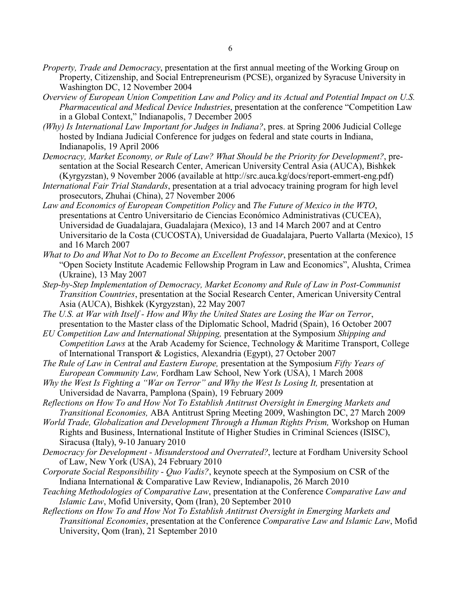- *Property, Trade and Democracy*, presentation at the first annual meeting of the Working Group on Property, Citizenship, and Social Entrepreneurism (PCSE), organized by Syracuse University in Washington DC, 12 November 2004
- *Overview of European Union Competition Law and Policy and its Actual and Potential Impact on U.S. Pharmaceutical and Medical Device Industries*, presentation at the conference "Competition Law in a Global Context," Indianapolis, 7 December 2005
- *(Why) Is International Law Important for Judges in Indiana?*, pres. at Spring 2006 Judicial College hosted by Indiana Judicial Conference for judges on federal and state courts in Indiana, Indianapolis, 19 April 2006
- *Democracy, Market Economy, or Rule of Law? What Should be the Priority for Development?*, presentation at the Social Research Center, American University Central Asia (AUCA), Bishkek (Kyrgyzstan), 9 November 2006 (available at http://src.auca.kg/docs/report-emmert-eng.pdf)
- *International Fair Trial Standards*, presentation at a trial advocacy training program for high level prosecutors, Zhuhai (China), 27 November 2006
- *Law and Economics of European Competition Policy* and *The Future of Mexico in the WTO*, presentations at Centro Universitario de Ciencias Económico Administrativas (CUCEA), Universidad de Guadalajara, Guadalajara (Mexico), 13 and 14 March 2007 and at Centro Universitario de la Costa (CUCOSTA), Universidad de Guadalajara, Puerto Vallarta (Mexico), 15 and 16 March 2007
- *What to Do and What Not to Do to Become an Excellent Professor*, presentation at the conference "Open Society Institute Academic Fellowship Program in Law and Economics", Alushta, Crimea (Ukraine), 13 May 2007
- *Step-by-Step Implementation of Democracy, Market Economy and Rule of Law in Post-Communist Transition Countries*, presentation at the Social Research Center, American University Central Asia (AUCA), Bishkek (Kyrgyzstan), 22 May 2007
- *The U.S. at War with Itself How and Why the United States are Losing the War on Terror*, presentation to the Master class of the Diplomatic School, Madrid (Spain), 16 October 2007
- *EU Competition Law and International Shipping,* presentation at the Symposium *Shipping and Competition Laws* at the Arab Academy for Science, Technology & Maritime Transport, College of International Transport & Logistics, Alexandria (Egypt), 27 October 2007
- *The Rule of Law in Central and Eastern Europe,* presentation at the Symposium *Fifty Years of European Community Law,* Fordham Law School, New York (USA), 1 March 2008
- *Why the West Is Fighting a "War on Terror" and Why the West Is Losing It, presentation at* Universidad de Navarra, Pamplona (Spain), 19 February 2009
- *Reflections on How To and How Not To Establish Antitrust Oversight in Emerging Markets and Transitional Economies,* ABA Antitrust Spring Meeting 2009, Washington DC, 27 March 2009
- *World Trade, Globalization and Development Through a Human Rights Prism,* Workshop on Human Rights and Business, International Institute of Higher Studies in Criminal Sciences (ISISC), Siracusa (Italy), 9-10 January 2010
- *Democracy for Development Misunderstood and Overrated?*, lecture at Fordham University School of Law, New York (USA), 24 February 2010
- *Corporate Social Responsibility Quo Vadis?*, keynote speech at the Symposium on CSR of the Indiana International & Comparative Law Review, Indianapolis, 26 March 2010
- *Teaching Methodologies of Comparative Law*, presentation at the Conference *Comparative Law and Islamic Law*, Mofid University, Qom (Iran), 20 September 2010
- *Reflections on How To and How Not To Establish Antitrust Oversight in Emerging Markets and Transitional Economies*, presentation at the Conference *Comparative Law and Islamic Law*, Mofid University, Qom (Iran), 21 September 2010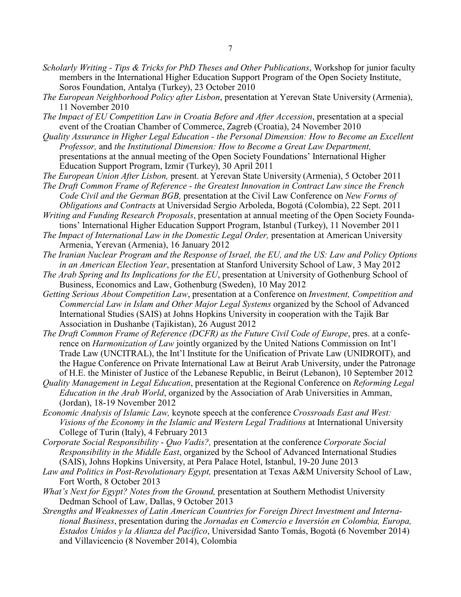- *Scholarly Writing Tips & Tricks for PhD Theses and Other Publications*, Workshop for junior faculty members in the International Higher Education Support Program of the Open Society Institute, Soros Foundation, Antalya (Turkey), 23 October 2010
- *The European Neighborhood Policy after Lisbon*, presentation at Yerevan State University (Armenia), 11 November 2010
- *The Impact of EU Competition Law in Croatia Before and After Accession*, presentation at a special event of the Croatian Chamber of Commerce, Zagreb (Croatia), 24 November 2010
- *Quality Assurance in Higher Legal Education the Personal Dimension: How to Become an Excellent Professor,* and *the Institutional Dimension: How to Become a Great Law Department,* presentations at the annual meeting of the Open Society Foundations' International Higher Education Support Program, Izmir (Turkey), 30 April 2011
- *The European Union After Lisbon,* present. at Yerevan State University (Armenia), 5 October 2011
- *The Draft Common Frame of Reference the Greatest Innovation in Contract Law since the French Code Civil and the German BGB,* presentation at the Civil Law Conference on *New Forms of Obligations and Contracts* at Universidad Sergio Arboleda, Bogotá (Colombia), 22 Sept. 2011
- *Writing and Funding Research Proposals*, presentation at annual meeting of the Open Society Foundations' International Higher Education Support Program, Istanbul (Turkey), 11 November 2011
- *The Impact of International Law in the Domestic Legal Order,* presentation at American University Armenia, Yerevan (Armenia), 16 January 2012
- *The Iranian Nuclear Program and the Response of Israel, the EU, and the US: Law and Policy Options in an American Election Year*, presentation at Stanford University School of Law, 3 May 2012
- *The Arab Spring and Its Implications for the EU*, presentation at University of Gothenburg School of Business, Economics and Law, Gothenburg (Sweden), 10 May 2012
- *Getting Serious About Competition Law*, presentation at a Conference on *Investment, Competition and Commercial Law in Islam and Other Major Legal Systems* organized by the School of Advanced International Studies (SAIS) at Johns Hopkins University in cooperation with the Tajik Bar Association in Dushanbe (Tajikistan), 26 August 2012
- *The Draft Common Frame of Reference (DCFR) as the Future Civil Code of Europe*, pres. at a conference on *Harmonization of Law* jointly organized by the United Nations Commission on Int'l Trade Law (UNCITRAL), the Int'l Institute for the Unification of Private Law (UNIDROIT), and the Hague Conference on Private International Law at Beirut Arab University, under the Patronage of H.E. the Minister of Justice of the Lebanese Republic, in Beirut (Lebanon), 10 September 2012
- *Quality Management in Legal Education*, presentation at the Regional Conference on *Reforming Legal Education in the Arab World*, organized by the Association of Arab Universities in Amman, (Jordan), 18-19 November 2012
- *Economic Analysis of Islamic Law,* keynote speech at the conference *Crossroads East and West: Visions of the Economy in the Islamic and Western Legal Traditions* at International University College of Turin (Italy), 4 February 2013
- *Corporate Social Responsibility Quo Vadis?,* presentation at the conference *Corporate Social Responsibility in the Middle East*, organized by the School of Advanced International Studies (SAIS), Johns Hopkins University, at Pera Palace Hotel, Istanbul, 19-20 June 2013
- *Law and Politics in Post-Revolutionary Egypt,* presentation at Texas A&M University School of Law, Fort Worth, 8 October 2013
- *What's Next for Egypt? Notes from the Ground,* presentation at Southern Methodist University Dedman School of Law, Dallas, 9 October 2013
- *Strengths and Weaknesses of Latin American Countries for Foreign Direct Investment and International Business*, presentation during the *Jornadas en Comercio e Inversión en Colombia, Europa, Estados Unidos y la Alianza del Pacifico*, Universidad Santo Tomás, Bogotá (6 November 2014) and Villavicencio (8 November 2014), Colombia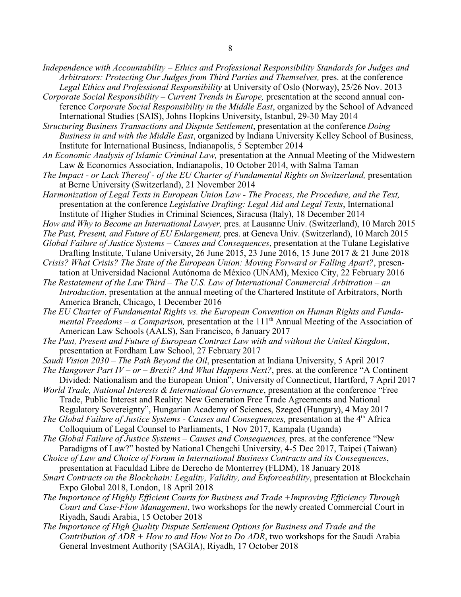- *Independence with Accountability Ethics and Professional Responsibility Standards for Judges and Arbitrators: Protecting Our Judges from Third Parties and Themselves, pres. at the conference Legal Ethics and Professional Responsibility* at University of Oslo (Norway), 25/26 Nov. 2013
- *Corporate Social Responsibility Current Trends in Europe,* presentation at the second annual conference *Corporate Social Responsibility in the Middle East*, organized by the School of Advanced International Studies (SAIS), Johns Hopkins University, Istanbul, 29-30 May 2014

*Structuring Business Transactions and Dispute Settlement*, presentation at the conference *Doing Business in and with the Middle East*, organized by Indiana University Kelley School of Business, Institute for International Business, Indianapolis, 5 September 2014

- *An Economic Analysis of Islamic Criminal Law,* presentation at the Annual Meeting of the Midwestern Law & Economics Association, Indianapolis, 10 October 2014, with Salma Taman
- *The Impact or Lack Thereof of the EU Charter of Fundamental Rights on Switzerland, presentation* at Berne University (Switzerland), 21 November 2014
- *Harmonization of Legal Texts in European Union Law The Process, the Procedure, and the Text,* presentation at the conference *Legislative Drafting: Legal Aid and Legal Texts*, International Institute of Higher Studies in Criminal Sciences, Siracusa (Italy), 18 December 2014
- *How and Why to Become an International Lawyer,* pres. at Lausanne Univ. (Switzerland), 10 March 2015

*The Past, Present, and Future of EU Enlargement,* pres. at Geneva Univ. (Switzerland), 10 March 2015

- *Global Failure of Justice Systems Causes and Consequences*, presentation at the Tulane Legislative Drafting Institute, Tulane University, 26 June 2015, 23 June 2016, 15 June 2017 & 21 June 2018
- *Crisis? What Crisis? The State of the European Union: Moving Forward or Falling Apart?*, presentation at Universidad Nacional Autónoma de México (UNAM), Mexico City, 22 February 2016
- *The Restatement of the Law Third The U.S. Law of International Commercial Arbitration an Introduction*, presentation at the annual meeting of the Chartered Institute of Arbitrators, North America Branch, Chicago, 1 December 2016
- *The EU Charter of Fundamental Rights vs. the European Convention on Human Rights and Funda*mental Freedoms – a Comparison, presentation at the 111<sup>th</sup> Annual Meeting of the Association of American Law Schools (AALS), San Francisco, 6 January 2017
- *The Past, Present and Future of European Contract Law with and without the United Kingdom*, presentation at Fordham Law School, 27 February 2017
- *Saudi Vision 2030 The Path Beyond the Oil*, presentation at Indiana University, 5 April 2017
- *The Hangover Part IV or Brexit? And What Happens Next?*, pres. at the conference "A Continent Divided: Nationalism and the European Union", University of Connecticut, Hartford, 7 April 2017
- *World Trade, National Interests & International Governance*, presentation at the conference "Free Trade, Public Interest and Reality: New Generation Free Trade Agreements and National Regulatory Sovereignty", Hungarian Academy of Sciences, Szeged (Hungary), 4 May 2017

The Global Failure of Justice Systems - Causes and Consequences, presentation at the 4<sup>th</sup> Africa Colloquium of Legal Counsel to Parliaments, 1 Nov 2017, Kampala (Uganda)

*The Global Failure of Justice Systems – Causes and Consequences,* pres. at the conference "New Paradigms of Law?" hosted by National Chengchi University, 4-5 Dec 2017, Taipei (Taiwan)

- *Choice of Law and Choice of Forum in International Business Contracts and its Consequences*, presentation at Faculdad Libre de Derecho de Monterrey (FLDM), 18 January 2018
- *Smart Contracts on the Blockchain: Legality, Validity, and Enforceability*, presentation at Blockchain Expo Global 2018, London, 18 April 2018
- *The Importance of Highly Efficient Courts for Business and Trade +Improving Efficiency Through Court and Case-Flow Management*, two workshops for the newly created Commercial Court in Riyadh, Saudi Arabia, 15 October 2018
- *The Importance of High Quality Dispute Settlement Options for Business and Trade and the Contribution of ADR + How to and How Not to Do ADR*, two workshops for the Saudi Arabia General Investment Authority (SAGIA), Riyadh, 17 October 2018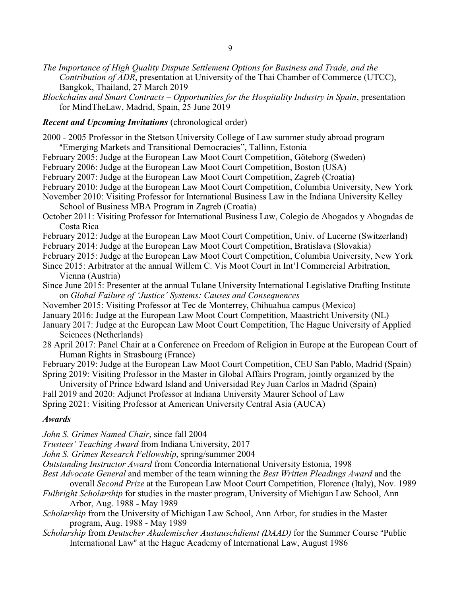- *The Importance of High Quality Dispute Settlement Options for Business and Trade, and the Contribution of ADR*, presentation at University of the Thai Chamber of Commerce (UTCC), Bangkok, Thailand, 27 March 2019
- *Blockchains and Smart Contracts Opportunities for the Hospitality Industry in Spain*, presentation for MindTheLaw, Madrid, Spain, 25 June 2019

### *Recent and Upcoming Invitations* (chronological order)

- 2000 2005 Professor in the Stetson University College of Law summer study abroad program "Emerging Markets and Transitional Democracies", Tallinn, Estonia
- February 2005: Judge at the European Law Moot Court Competition, Göteborg (Sweden)
- February 2006: Judge at the European Law Moot Court Competition, Boston (USA)
- February 2007: Judge at the European Law Moot Court Competition, Zagreb (Croatia)
- February 2010: Judge at the European Law Moot Court Competition, Columbia University, New York
- November 2010: Visiting Professor for International Business Law in the Indiana University Kelley School of Business MBA Program in Zagreb (Croatia)
- October 2011: Visiting Professor for International Business Law, Colegio de Abogados y Abogadas de Costa Rica
- February 2012: Judge at the European Law Moot Court Competition, Univ. of Lucerne (Switzerland)
- February 2014: Judge at the European Law Moot Court Competition, Bratislava (Slovakia)
- February 2015: Judge at the European Law Moot Court Competition, Columbia University, New York
- Since 2015: Arbitrator at the annual Willem C. Vis Moot Court in Int'l Commercial Arbitration, Vienna (Austria)
- Since June 2015: Presenter at the annual Tulane University International Legislative Drafting Institute on *Global Failure of 'Justice' Systems: Causes and Consequences*
- November 2015: Visiting Professor at Tec de Monterrey, Chihuahua campus (Mexico)
- January 2016: Judge at the European Law Moot Court Competition, Maastricht University (NL)
- January 2017: Judge at the European Law Moot Court Competition, The Hague University of Applied Sciences (Netherlands)
- 28 April 2017: Panel Chair at a Conference on Freedom of Religion in Europe at the European Court of Human Rights in Strasbourg (France)
- February 2019: Judge at the European Law Moot Court Competition, CEU San Pablo, Madrid (Spain) Spring 2019: Visiting Professor in the Master in Global Affairs Program, jointly organized by the

University of Prince Edward Island and Universidad Rey Juan Carlos in Madrid (Spain)

Fall 2019 and 2020: Adjunct Professor at Indiana University Maurer School of Law

Spring 2021: Visiting Professor at American University Central Asia (AUCA)

#### *Awards*

*John S. Grimes Named Chair*, since fall 2004

*Trustees' Teaching Award* from Indiana University, 2017

*John S. Grimes Research Fellowship*, spring/summer 2004

*Outstanding Instructor Award* from Concordia International University Estonia, 1998

- *Best Advocate General* and member of the team winning the *Best Written Pleadings Award* and the overall *Second Prize* at the European Law Moot Court Competition, Florence (Italy), Nov. 1989
- *Fulbright Scholarship* for studies in the master program, University of Michigan Law School, Ann Arbor, Aug. 1988 - May 1989
- *Scholarship* from the University of Michigan Law School, Ann Arbor, for studies in the Master program, Aug. 1988 - May 1989
- *Scholarship* from *Deutscher Akademischer Austauschdienst (DAAD)* for the Summer Course "Public International Law" at the Hague Academy of International Law, August 1986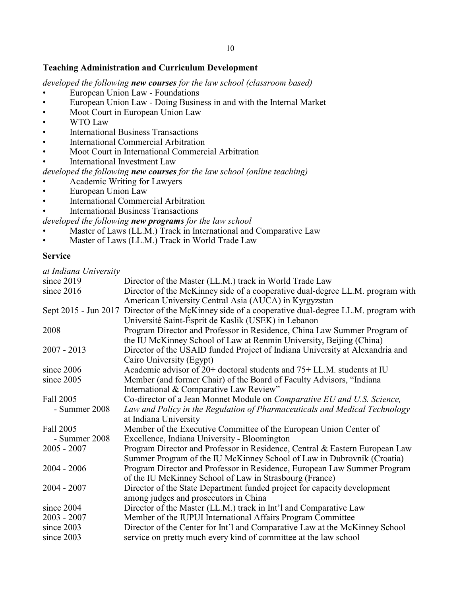# **Teaching Administration and Curriculum Development**

*developed the following new courses for the law school (classroom based)*

- European Union Law Foundations
- European Union Law Doing Business in and with the Internal Market
- Moot Court in European Union Law
- WTO Law
- International Business Transactions
- International Commercial Arbitration
- Moot Court in International Commercial Arbitration
- International Investment Law
- *developed the following new courses for the law school (online teaching)*
- Academic Writing for Lawyers
- European Union Law
- International Commercial Arbitration
- International Business Transactions

### *developed the following new programs for the law school*

- Master of Laws (LL.M.) Track in International and Comparative Law
- Master of Laws (LL.M.) Track in World Trade Law

## **Service**

| at Indiana University |                                                                                                    |
|-----------------------|----------------------------------------------------------------------------------------------------|
| since 2019            | Director of the Master (LL.M.) track in World Trade Law                                            |
| since 2016            | Director of the McKinney side of a cooperative dual-degree LL.M. program with                      |
|                       | American University Central Asia (AUCA) in Kyrgyzstan                                              |
|                       | Sept 2015 - Jun 2017 Director of the McKinney side of a cooperative dual-degree LL.M. program with |
|                       | Université Saint-Ésprit de Kaslik (USEK) in Lebanon                                                |
| 2008                  | Program Director and Professor in Residence, China Law Summer Program of                           |
|                       | the IU McKinney School of Law at Renmin University, Beijing (China)                                |
| $2007 - 2013$         | Director of the USAID funded Project of Indiana University at Alexandria and                       |
|                       | Cairo University (Egypt)                                                                           |
| since 2006            | Academic advisor of $20+$ doctoral students and $75+$ LL.M. students at IU                         |
| since 2005            | Member (and former Chair) of the Board of Faculty Advisors, "Indiana                               |
|                       | International & Comparative Law Review"                                                            |
| Fall 2005             | Co-director of a Jean Monnet Module on Comparative EU and U.S. Science,                            |
| - Summer 2008         | Law and Policy in the Regulation of Pharmaceuticals and Medical Technology                         |
|                       | at Indiana University                                                                              |
| <b>Fall 2005</b>      | Member of the Executive Committee of the European Union Center of                                  |
| - Summer 2008         | Excellence, Indiana University - Bloomington                                                       |
| $2005 - 2007$         | Program Director and Professor in Residence, Central & Eastern European Law                        |
|                       | Summer Program of the IU McKinney School of Law in Dubrovnik (Croatia)                             |
| $2004 - 2006$         | Program Director and Professor in Residence, European Law Summer Program                           |
|                       | of the IU McKinney School of Law in Strasbourg (France)                                            |
| $2004 - 2007$         | Director of the State Department funded project for capacity development                           |
|                       | among judges and prosecutors in China                                                              |
| since 2004            | Director of the Master (LL.M.) track in Int'l and Comparative Law                                  |
| $2003 - 2007$         | Member of the IUPUI International Affairs Program Committee                                        |
| since 2003            | Director of the Center for Int'l and Comparative Law at the McKinney School                        |
| since 2003            | service on pretty much every kind of committee at the law school                                   |
|                       |                                                                                                    |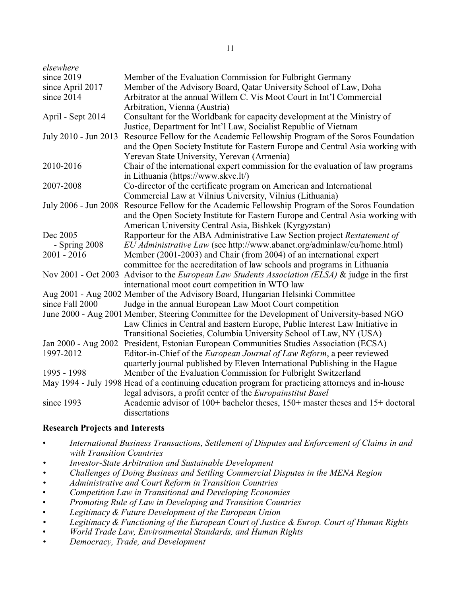| elsewhere            |                                                                                                         |
|----------------------|---------------------------------------------------------------------------------------------------------|
| since 2019           | Member of the Evaluation Commission for Fulbright Germany                                               |
| since April 2017     | Member of the Advisory Board, Qatar University School of Law, Doha                                      |
| since 2014           | Arbitrator at the annual Willem C. Vis Moot Court in Int'l Commercial                                   |
|                      | Arbitration, Vienna (Austria)                                                                           |
| April - Sept 2014    | Consultant for the Worldbank for capacity development at the Ministry of                                |
|                      | Justice, Department for Int'l Law, Socialist Republic of Vietnam                                        |
| July 2010 - Jun 2013 | Resource Fellow for the Academic Fellowship Program of the Soros Foundation                             |
|                      | and the Open Society Institute for Eastern Europe and Central Asia working with                         |
|                      | Yerevan State University, Yerevan (Armenia)                                                             |
| 2010-2016            | Chair of the international expert commission for the evaluation of law programs                         |
|                      | in Lithuania (https://www.skvc.lt/)                                                                     |
| 2007-2008            | Co-director of the certificate program on American and International                                    |
|                      | Commercial Law at Vilnius University, Vilnius (Lithuania)                                               |
|                      | July 2006 - Jun 2008 Resource Fellow for the Academic Fellowship Program of the Soros Foundation        |
|                      | and the Open Society Institute for Eastern Europe and Central Asia working with                         |
|                      | American University Central Asia, Bishkek (Kyrgyzstan)                                                  |
| Dec 2005             | Rapporteur for the ABA Administrative Law Section project Restatement of                                |
| $-$ Spring 2008      | EU Administrative Law (see http://www.abanet.org/adminlaw/eu/home.html)                                 |
| $2001 - 2016$        | Member (2001-2003) and Chair (from 2004) of an international expert                                     |
|                      | committee for the accreditation of law schools and programs in Lithuania                                |
|                      | Nov 2001 - Oct 2003 Advisor to the <i>European Law Students Association (ELSA)</i> & judge in the first |
|                      | international moot court competition in WTO law                                                         |
|                      | Aug 2001 - Aug 2002 Member of the Advisory Board, Hungarian Helsinki Committee                          |
| since Fall 2000      | Judge in the annual European Law Moot Court competition                                                 |
|                      | June 2000 - Aug 2001 Member, Steering Committee for the Development of University-based NGO             |
|                      | Law Clinics in Central and Eastern Europe, Public Interest Law Initiative in                            |
|                      | Transitional Societies, Columbia University School of Law, NY (USA)                                     |
|                      | Jan 2000 - Aug 2002 President, Estonian European Communities Studies Association (ECSA)                 |
| 1997-2012            | Editor-in-Chief of the European Journal of Law Reform, a peer reviewed                                  |
|                      | quarterly journal published by Eleven International Publishing in the Hague                             |
| 1995 - 1998          | Member of the Evaluation Commission for Fulbright Switzerland                                           |
|                      | May 1994 - July 1998 Head of a continuing education program for practicing attorneys and in-house       |
|                      | legal advisors, a profit center of the Europainstitut Basel                                             |
| since 1993           | Academic advisor of 100+ bachelor theses, 150+ master theses and 15+ doctoral                           |
|                      | dissertations                                                                                           |

# **Research Projects and Interests**

- *International Business Transactions, Settlement of Disputes and Enforcement of Claims in and with Transition Countries*
- *• Investor-State Arbitration and Sustainable Development*
- *• Challenges of Doing Business and Settling Commercial Disputes in the MENA Region*
- *• Administrative and Court Reform in Transition Countries*
- *Competition Law in Transitional and Developing Economies*
- *Promoting Rule of Law in Developing and Transition Countries*
- *Legitimacy & Future Development of the European Union*
- *• Legitimacy & Functioning of the European Court of Justice & Europ. Court of Human Rights*
- *World Trade Law, Environmental Standards, and Human Rights*
- *• Democracy, Trade, and Development*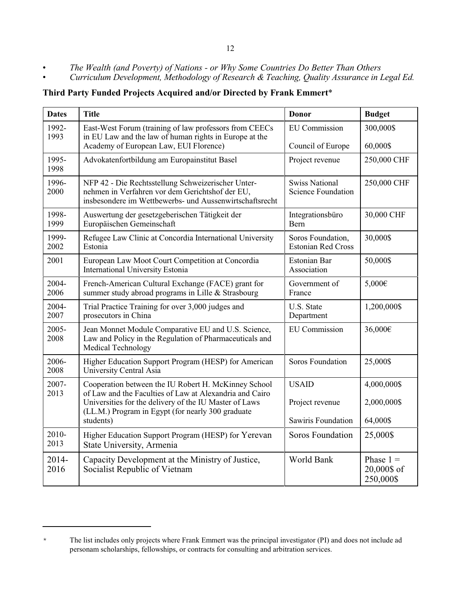- *The Wealth (and Poverty) of Nations or Why Some Countries Do Better Than Others*
- *Curriculum Development, Methodology of Research & Teaching, Quality Assurance in Legal Ed.*

**Third Party Funded Projects Acquired and/or Directed by Frank Emmert**\*

| <b>Dates</b>  | <b>Title</b>                                                                                                                                                           | <b>Donor</b>                                       | <b>Budget</b>                           |
|---------------|------------------------------------------------------------------------------------------------------------------------------------------------------------------------|----------------------------------------------------|-----------------------------------------|
| 1992-<br>1993 | East-West Forum (training of law professors from CEECs<br>in EU Law and the law of human rights in Europe at the                                                       | <b>EU</b> Commission                               | 300,000\$                               |
|               | Academy of European Law, EUI Florence)                                                                                                                                 | Council of Europe                                  | 60,000\$                                |
| 1995-<br>1998 | Advokatenfortbildung am Europainstitut Basel                                                                                                                           | Project revenue                                    | 250,000 CHF                             |
| 1996-<br>2000 | NFP 42 - Die Rechtsstellung Schweizerischer Unter-<br>nehmen in Verfahren vor dem Gerichtshof der EU,<br>insbesondere im Wettbewerbs- und Aussenwirtschaftsrecht       | <b>Swiss National</b><br><b>Science Foundation</b> | 250,000 CHF                             |
| 1998-<br>1999 | Auswertung der gesetzgeberischen Tätigkeit der<br>Europäischen Gemeinschaft                                                                                            | Integrationsbüro<br>Bern                           | 30,000 CHF                              |
| 1999-<br>2002 | Refugee Law Clinic at Concordia International University<br>Estonia                                                                                                    | Soros Foundation,<br><b>Estonian Red Cross</b>     | 30,000\$                                |
| 2001          | European Law Moot Court Competition at Concordia<br>International University Estonia                                                                                   | Estonian Bar<br>Association                        | 50,000\$                                |
| 2004-<br>2006 | French-American Cultural Exchange (FACE) grant for<br>summer study abroad programs in Lille & Strasbourg                                                               | Government of<br>France                            | 5,000€                                  |
| 2004-<br>2007 | Trial Practice Training for over 3,000 judges and<br>prosecutors in China                                                                                              | U.S. State<br>Department                           | 1,200,000\$                             |
| 2005-<br>2008 | Jean Monnet Module Comparative EU and U.S. Science,<br>Law and Policy in the Regulation of Pharmaceuticals and<br>Medical Technology                                   | <b>EU</b> Commission                               | 36,000€                                 |
| 2006-<br>2008 | Higher Education Support Program (HESP) for American<br>University Central Asia                                                                                        | Soros Foundation                                   | 25,000\$                                |
| 2007-         | Cooperation between the IU Robert H. McKinney School                                                                                                                   | <b>USAID</b>                                       | 4,000,000\$                             |
| 2013          | of Law and the Faculties of Law at Alexandria and Cairo<br>Universities for the delivery of the IU Master of Laws<br>(LL.M.) Program in Egypt (for nearly 300 graduate | Project revenue                                    | 2,000,000\$                             |
|               | students)                                                                                                                                                              | Sawiris Foundation                                 | 64,000\$                                |
| 2010-<br>2013 | Higher Education Support Program (HESP) for Yerevan<br>State University, Armenia                                                                                       | Soros Foundation                                   | 25,000\$                                |
| 2014-<br>2016 | Capacity Development at the Ministry of Justice,<br>Socialist Republic of Vietnam                                                                                      | World Bank                                         | Phase $1 =$<br>20,000\$ of<br>250,000\$ |

<sup>\*</sup> The list includes only projects where Frank Emmert was the principal investigator (PI) and does not include ad personam scholarships, fellowships, or contracts for consulting and arbitration services.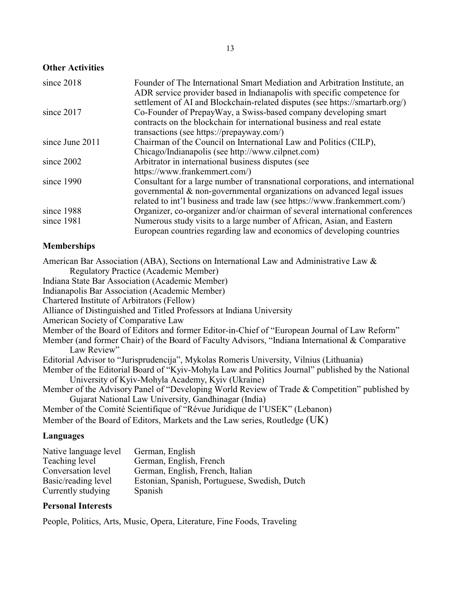## **Other Activities**

| since 2018      | Founder of The International Smart Mediation and Arbitration Institute, an<br>ADR service provider based in Indianapolis with specific competence for |
|-----------------|-------------------------------------------------------------------------------------------------------------------------------------------------------|
|                 | settlement of AI and Blockchain-related disputes (see https://smartarb.org/)                                                                          |
| since 2017      | Co-Founder of PrepayWay, a Swiss-based company developing smart                                                                                       |
|                 | contracts on the blockchain for international business and real estate                                                                                |
|                 | transactions (see https://prepayway.com/)                                                                                                             |
| since June 2011 | Chairman of the Council on International Law and Politics (CILP),                                                                                     |
|                 | Chicago/Indianapolis (see http://www.cilpnet.com)                                                                                                     |
| since 2002      | Arbitrator in international business disputes (see                                                                                                    |
|                 | https://www.frankemmert.com/)                                                                                                                         |
| since 1990      | Consultant for a large number of transnational corporations, and international                                                                        |
|                 | governmental & non-governmental organizations on advanced legal issues                                                                                |
|                 | related to int'l business and trade law (see https://www.frankemmert.com/)                                                                            |
| since 1988      | Organizer, co-organizer and/or chairman of several international conferences                                                                          |
| since 1981      | Numerous study visits to a large number of African, Asian, and Eastern                                                                                |
|                 | European countries regarding law and economics of developing countries                                                                                |

### **Memberships**

American Bar Association (ABA), Sections on International Law and Administrative Law & Regulatory Practice (Academic Member) Indiana State Bar Association (Academic Member) Indianapolis Bar Association (Academic Member) Chartered Institute of Arbitrators (Fellow) Alliance of Distinguished and Titled Professors at Indiana University American Society of Comparative Law Member of the Board of Editors and former Editor-in-Chief of "European Journal of Law Reform" Member (and former Chair) of the Board of Faculty Advisors, "Indiana International & Comparative Law Review" Editorial Advisor to "Jurisprudencija", Mykolas Romeris University, Vilnius (Lithuania) Member of the Editorial Board of "Kyiv-Mohyla Law and Politics Journal" published by the National University of Kyiv-Mohyla Academy, Kyiv (Ukraine) Member of the Advisory Panel of "Developing World Review of Trade & Competition" published by Gujarat National Law University, Gandhinagar (India) Member of the Comité Scientifique of "Révue Juridique de l'USEK" (Lebanon) Member of the Board of Editors, Markets and the Law series, Routledge (UK)

# **Languages**

| Native language level | German, English                               |
|-----------------------|-----------------------------------------------|
| Teaching level        | German, English, French                       |
| Conversation level    | German, English, French, Italian              |
| Basic/reading level   | Estonian, Spanish, Portuguese, Swedish, Dutch |
| Currently studying    | Spanish                                       |

### **Personal Interests**

People, Politics, Arts, Music, Opera, Literature, Fine Foods, Traveling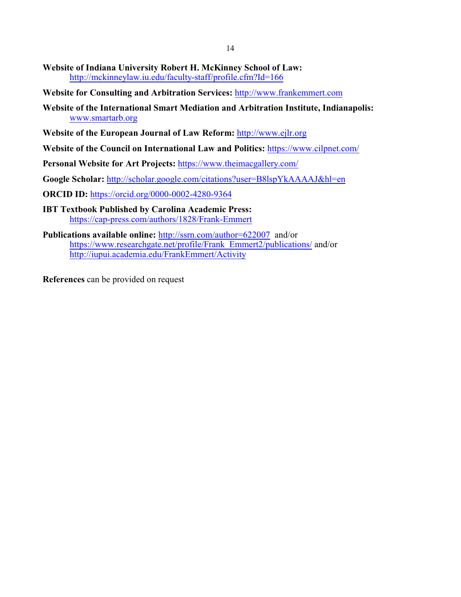- **Website of Indiana University Robert H. McKinney School of Law:** <http://mckinneylaw.iu.edu/faculty-staff/profile.cfm?Id=166>
- **Website for Consulting and Arbitration Services:** <http://www.frankemmert.com>
- **Website of the International Smart Mediation and Arbitration Institute, Indianapolis:**  [www.smartarb.org](http://www.smartarb.org)
- **Website of the European Journal of Law Reform:** <http://www.ejlr.org>
- **Website of the Council on International Law and Politics:** <https://www.cilpnet.com/>
- **Personal Website for Art Projects:** <https://www.theimacgallery.com/>
- **Google Scholar:** <http://scholar.google.com/citations?user=B8lspYkAAAAJ&hl=en>
- **ORCID ID:** <https://orcid.org/0000-0002-4280-9364>
- **IBT Textbook Published by Carolina Academic Press:** <https://cap-press.com/authors/1828/Frank-Emmert>
- **Publications available online:** <http://ssrn.com/author=622007> and/or [https://www.researchgate.net/profile/Frank\\_Emmert2/publications/](https://www.researchgate.net/profile/Frank_Emmert2/publications) and/or <http://iupui.academia.edu/FrankEmmert/Activity>

**References** can be provided on request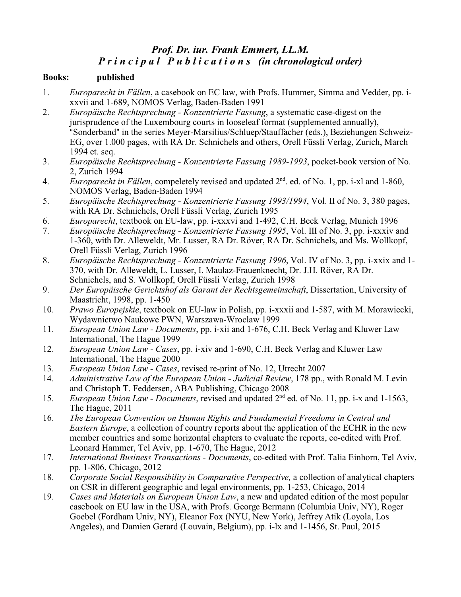# *Prof. Dr. iur. Frank Emmert, LL.M. P r i n c i p a l P u b l i c a t i o n s (in chronological order)*

## **Books: published**

- 1. *Europarecht in Fällen*, a casebook on EC law, with Profs. Hummer, Simma and Vedder, pp. ixxvii and 1-689, NOMOS Verlag, Baden-Baden 1991
- 2. *Europäische Rechtsprechung Konzentrierte Fassung*, a systematic case-digest on the jurisprudence of the Luxembourg courts in looseleaf format (supplemented annually), "Sonderband" in the series Meyer-Marsilius/Schluep/Stauffacher (eds.), Beziehungen Schweiz-EG, over 1.000 pages, with RA Dr. Schnichels and others, Orell Füssli Verlag, Zurich, March 1994 et. seq.
- 3. *Europäische Rechtsprechung Konzentrierte Fassung 1989-1993*, pocket-book version of No. 2, Zurich 1994
- 4. Europarecht in Fällen, compeletely revised and updated 2<sup>nd</sup>. ed. of No. 1, pp. i-xl and 1-860, NOMOS Verlag, Baden-Baden 1994
- 5. *Europäische Rechtsprechung Konzentrierte Fassung 1993/1994*, Vol. II of No. 3, 380 pages, with RA Dr. Schnichels, Orell Füssli Verlag, Zurich 1995
- 6. *Europarecht*, textbook on EU-law, pp. i-xxxvi and 1-492, C.H. Beck Verlag, Munich 1996
- 7. *Europäische Rechtsprechung Konzentrierte Fassung 1995*, Vol. III of No. 3, pp. i-xxxiv and 1-360, with Dr. Alleweldt, Mr. Lusser, RA Dr. Röver, RA Dr. Schnichels, and Ms. Wollkopf, Orell Füssli Verlag, Zurich 1996
- 8. *Europäische Rechtsprechung Konzentrierte Fassung 1996*, Vol. IV of No. 3, pp. i-xxix and 1- 370, with Dr. Alleweldt, L. Lusser, I. Maulaz-Frauenknecht, Dr. J.H. Röver, RA Dr. Schnichels, and S. Wollkopf, Orell Füssli Verlag, Zurich 1998
- 9. *Der Europäische Gerichtshof als Garant der Rechtsgemeinschaft*, Dissertation, University of Maastricht, 1998, pp. 1-450
- 10. *Prawo Europejskie*, textbook on EU-law in Polish, pp. i-xxxii and 1-587, with M. Morawiecki, Wydawnictwo Naukowe PWN, Warszawa-Wroclaw 1999
- 11. *European Union Law Documents*, pp. i-xii and 1-676, C.H. Beck Verlag and Kluwer Law International, The Hague 1999
- 12. *European Union Law Cases*, pp. i-xiv and 1-690, C.H. Beck Verlag and Kluwer Law International, The Hague 2000
- 13. *European Union Law Cases*, revised re-print of No. 12, Utrecht 2007
- 14. *Administrative Law of the European Union Judicial Review*, 178 pp., with Ronald M. Levin and Christoph T. Feddersen, ABA Publishing, Chicago 2008
- 15. *European Union Law Documents*, revised and updated 2<sup>nd</sup> ed. of No. 11, pp. i-x and 1-1563, The Hague, 2011
- 16. *The European Convention on Human Rights and Fundamental Freedoms in Central and Eastern Europe*, a collection of country reports about the application of the ECHR in the new member countries and some horizontal chapters to evaluate the reports, co-edited with Prof. Leonard Hammer, Tel Aviv, pp. 1-670, The Hague, 2012
- 17. *International Business Transactions Documents*, co-edited with Prof. Talia Einhorn, Tel Aviv, pp. 1-806, Chicago, 2012
- 18. *Corporate Social Responsibility in Comparative Perspective,* a collection of analytical chapters on CSR in different geographic and legal environments, pp. 1-253, Chicago, 2014
- 19. *Cases and Materials on European Union Law*, a new and updated edition of the most popular casebook on EU law in the USA, with Profs. George Bermann (Columbia Univ, NY), Roger Goebel (Fordham Univ, NY), Eleanor Fox (NYU, New York), Jeffrey Atik (Loyola, Los Angeles), and Damien Gerard (Louvain, Belgium), pp. i-lx and 1-1456, St. Paul, 2015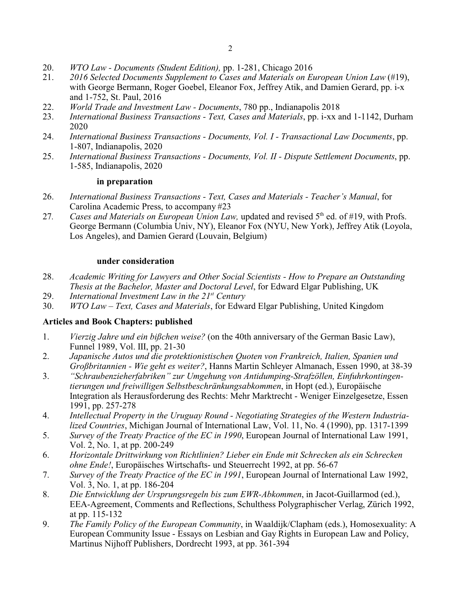- 20. *WTO Law Documents (Student Edition),* pp. 1-281, Chicago 2016
- 21. *2016 Selected Documents Supplement to Cases and Materials on European Union Law* (#19), with George Bermann, Roger Goebel, Eleanor Fox, Jeffrey Atik, and Damien Gerard, pp. i-x and 1-752, St. Paul, 2016
- 22. *World Trade and Investment Law Documents*, 780 pp., Indianapolis 2018
- 23. *International Business Transactions Text, Cases and Materials*, pp. i-xx and 1-1142, Durham 2020
- 24. *International Business Transactions Documents, Vol. I Transactional Law Documents*, pp. 1-807, Indianapolis, 2020
- 25. *International Business Transactions Documents, Vol. II Dispute Settlement Documents*, pp. 1-585, Indianapolis, 2020

### **in preparation**

- 26. *International Business Transactions Text, Cases and Materials Teacher's Manual*, for Carolina Academic Press, to accompany #23
- 27. Cases and Materials on European Union Law, updated and revised 5<sup>th</sup> ed. of #19, with Profs. George Bermann (Columbia Univ, NY), Eleanor Fox (NYU, New York), Jeffrey Atik (Loyola, Los Angeles), and Damien Gerard (Louvain, Belgium)

### **under consideration**

- 28. *Academic Writing for Lawyers and Other Social Scientists How to Prepare an Outstanding Thesis at the Bachelor, Master and Doctoral Level*, for Edward Elgar Publishing, UK
- 29. *International Investment Law in the 21st Century*
- 30. *WTO Law Text, Cases and Materials*, for Edward Elgar Publishing, United Kingdom

## **Articles and Book Chapters: published**

- 1. *Vierzig Jahre und ein bißchen weise?* (on the 40th anniversary of the German Basic Law), Funnel 1989, Vol. III, pp. 21-30
- 2. *Japanische Autos und die protektionistischen Quoten von Frankreich, Italien, Spanien und Großbritannien - Wie geht es weiter?*, Hanns Martin Schleyer Almanach, Essen 1990, at 38-39
- 3. *"Schraubenzieherfabriken" zur Umgehung von Antidumping-Strafzöllen, Einfuhrkontingentierungen und freiwilligen Selbstbeschränkungsabkommen*, in Hopt (ed.), Europäische Integration als Herausforderung des Rechts: Mehr Marktrecht - Weniger Einzelgesetze, Essen 1991, pp. 257-278
- 4. *Intellectual Property in the Uruguay Round Negotiating Strategies of the Western Industrialized Countries*, Michigan Journal of International Law, Vol. 11, No. 4 (1990), pp. 1317-1399
- 5. *Survey of the Treaty Practice of the EC in 1990*, European Journal of International Law 1991, Vol. 2, No. 1, at pp. 200-249
- 6. *Horizontale Drittwirkung von Richtlinien? Lieber ein Ende mit Schrecken als ein Schrecken ohne Ende!*, Europäisches Wirtschafts- und Steuerrecht 1992, at pp. 56-67
- 7. *Survey of the Treaty Practice of the EC in 1991*, European Journal of International Law 1992, Vol. 3, No. 1, at pp. 186-204
- 8. *Die Entwicklung der Ursprungsregeln bis zum EWR-Abkommen*, in Jacot-Guillarmod (ed.), EEA-Agreement, Comments and Reflections, Schulthess Polygraphischer Verlag, Zürich 1992, at pp. 115-132
- 9. *The Family Policy of the European Community*, in Waaldijk/Clapham (eds.), Homosexuality: A European Community Issue - Essays on Lesbian and Gay Rights in European Law and Policy, Martinus Nijhoff Publishers, Dordrecht 1993, at pp. 361-394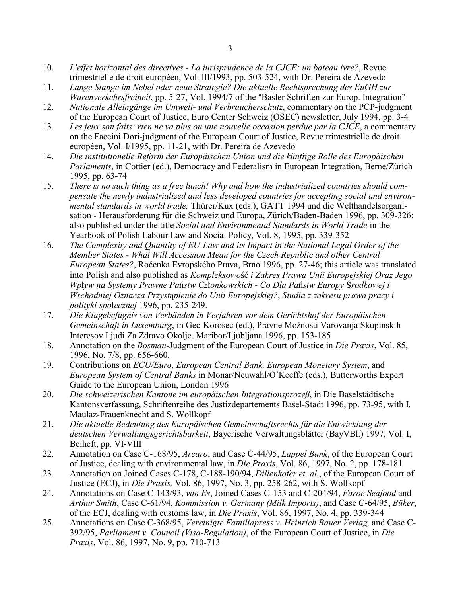- 10. *L'effet horizontal des directives La jurisprudence de la CJCE: un bateau ivre?*, Revue trimestrielle de droit européen, Vol. III/1993, pp. 503-524, with Dr. Pereira de Azevedo
- 11. *Lange Stange im Nebel oder neue Strategie? Die aktuelle Rechtsprechung des EuGH zur Warenverkehrsfreiheit*, pp. 5-27, Vol. 1994/7 of the "Basler Schriften zur Europ. Integration"
- 12. *Nationale Alleingänge im Umwelt- und Verbraucherschutz*, commentary on the PCP-judgment of the European Court of Justice, Euro Center Schweiz (OSEC) newsletter, July 1994, pp. 3-4
- 13. *Les jeux son faits: rien ne va plus ou une nouvelle occasion perdue par la CJCE*, a commentary on the Faccini Dori-judgment of the European Court of Justice, Revue trimestrielle de droit européen, Vol. I/1995, pp. 11-21, with Dr. Pereira de Azevedo
- 14. *Die institutionelle Reform der Europäischen Union und die künftige Rolle des Europäischen Parlaments*, in Cottier (ed.), Democracy and Federalism in European Integration, Berne/Zürich 1995, pp. 63-74
- 15. *There is no such thing as a free lunch! Why and how the industrialized countries should compensate the newly industrialized and less developed countries for accepting social and environmental standards in world trade,* Thürer/Kux (eds.), GATT 1994 und die Welthandelsorganisation - Herausforderung für die Schweiz und Europa, Zürich/Baden-Baden 1996, pp. 309-326; also published under the title *Social and Environmental Standards in World Trade* in the Yearbook of Polish Labour Law and Social Policy, Vol. 8, 1995, pp. 339-352
- 16. *The Complexity and Quantity of EU-Law and its Impact in the National Legal Order of the Member States - What Will Accession Mean for the Czech Republic and other Central European States?*, Ročenka Evropského Prava, Brno 1996, pp. 27-46; this article was translated into Polish and also published as *Kompleksowość i Zakres Prawa Unii Europejskiej Oraz Jego Wp»yw na Systemy Prawne Pa½stw Cz»onkowskich - Co Dla Pa½stw Europy Ðrodkowej i Wschodniej Oznacza Przystpienie do Unii Europejskiej?*, *Studia z zakresu prawa pracy i polityki spo»ecznej* 1996, pp. 235-249.
- 17. *Die Klagebefugnis von Verbänden in Verfahren vor dem Gerichtshof der Europäischen Gemeinschaft in Luxemburg*, in Gec-Korosec (ed.), Pravne Možnosti Varovanja Skupinskih Interesov Ljudi Za Zdravo Okolje, Maribor/Ljubljana 1996, pp. 153-185
- 18. Annotation on the *Bosman-*Judgment of the European Court of Justice in *Die Praxis*, Vol. 85, 1996, No. 7/8, pp. 656-660.
- 19. Contributions on *ECU/Euro, European Central Bank, European Monetary System*, and *European System of Central Banks* in Monar/Neuwahl/O´Keeffe (eds.), Butterworths Expert Guide to the European Union, London 1996
- 20. *Die schweizerischen Kantone im europäischen Integrationsprozeß*, in Die Baselstädtische Kantonsverfassung, Schriftenreihe des Justizdepartements Basel-Stadt 1996, pp. 73-95, with I. Maulaz-Frauenknecht and S. Wollkopf
- 21. *Die aktuelle Bedeutung des Europäischen Gemeinschaftsrechts für die Entwicklung der deutschen Verwaltungsgerichtsbarkeit*, Bayerische Verwaltungsblätter (BayVBl.) 1997, Vol. I, Beiheft, pp. VI-VIII
- 22. Annotation on Case C-168/95, *Arcaro*, and Case C-44/95, *Lappel Bank*, of the European Court of Justice, dealing with environmental law, in *Die Praxis*, Vol. 86, 1997, No. 2, pp. 178-181
- 23. Annotation on Joined Cases C-178, C-188-190/94, *Dillenkofer et. al.*, of the European Court of Justice (ECJ), in *Die Praxis,* Vol. 86, 1997, No. 3, pp. 258-262, with S. Wollkopf
- 24. Annotations on Case C-143/93, *van Es*, Joined Cases C-153 and C-204/94, *Faroe Seafood* and *Arthur Smith*, Case C-61/94, *Kommission v. Germany (Milk Imports)*, and Case C-64/95, *Büker*, of the ECJ, dealing with customs law, in *Die Praxis*, Vol. 86, 1997, No. 4, pp. 339-344
- 25. Annotations on Case C-368/95, *Vereinigte Familiapress v. Heinrich Bauer Verlag,* and Case C-392/95, *Parliament v. Council (Visa-Regulation)*, of the European Court of Justice, in *Die Praxis*, Vol. 86, 1997, No. 9, pp. 710-713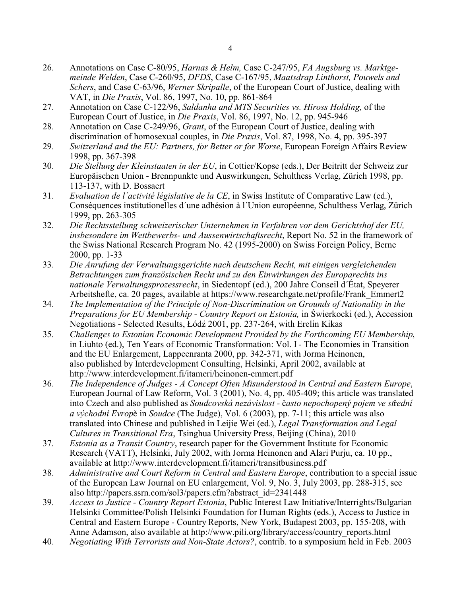- 26. Annotations on Case C-80/95, *Harnas & Helm,* Case C-247/95, *FA Augsburg vs. Marktgemeinde Welden*, Case C-260/95, *DFDS*, Case C-167/95, *Maatsdrap Linthorst, Pouwels and Schers*, and Case C-63/96, *Werner Skripalle*, of the European Court of Justice, dealing with VAT, in *Die Praxis*, Vol. 86, 1997, No. 10, pp. 861-864
- 27. Annotation on Case C-122/96, *Saldanha and MTS Securities vs. Hiross Holding,* of the European Court of Justice, in *Die Praxis*, Vol. 86, 1997, No. 12, pp. 945-946
- 28. Annotation on Case C-249/96, *Grant*, of the European Court of Justice, dealing with discrimination of homosexual couples, in *Die Praxis*, Vol. 87, 1998, No. 4, pp. 395-397
- 29. *Switzerland and the EU: Partners, for Better or for Worse*, European Foreign Affairs Review 1998, pp. 367-398
- 30. *Die Stellung der Kleinstaaten in der EU*, in Cottier/Kopse (eds.), Der Beitritt der Schweiz zur Europäischen Union - Brennpunkte und Auswirkungen, Schulthess Verlag, Zürich 1998, pp. 113-137, with D. Bossaert
- 31. *Evaluation de l´activité législative de la CE*, in Swiss Institute of Comparative Law (ed.), Conséquences institutionelles d´une adhésion à l´Union européenne, Schulthess Verlag, Zürich 1999, pp. 263-305
- 32. *Die Rechtsstellung schweizerischer Unternehmen in Verfahren vor dem Gerichtshof der EU, insbesondere im Wettbewerbs- und Aussenwirtschaftsrecht*, Report No. 52 in the framework of the Swiss National Research Program No. 42 (1995-2000) on Swiss Foreign Policy, Berne 2000, pp. 1-33
- 33. *Die Anrufung der Verwaltungsgerichte nach deutschem Recht, mit einigen vergleichenden Betrachtungen zum französischen Recht und zu den Einwirkungen des Europarechts ins nationale Verwaltungsprozessrecht*, in Siedentopf (ed.), 200 Jahre Conseil d´État, Speyerer Arbeitshefte, ca. 20 pages, available at https://www.researchgate.net/profile/Frank\_Emmert2
- 34. *The Implementation of the Principle of Non-Discrimination on Grounds of Nationality in the Preparations for EU Membership - Country Report on Estonia,* in Świerkocki (ed.), Accession Negotiations - Selected Results, Łódź 2001, pp. 237-264, with Erelin Kikas
- 35. *Challenges to Estonian Economic Development Provided by the Forthcoming EU Membership*, in Liuhto (ed.), Ten Years of Economic Transformation: Vol. I - The Economies in Transition and the EU Enlargement, Lappeenranta 2000, pp. 342-371, with Jorma Heinonen, also published by Interdevelopment Consulting, Helsinki, April 2002, available at http://www.interdevelopment.fi/itameri/heinonen-emmert.pdf
- 36. *The Independence of Judges A Concept Often Misunderstood in Central and Eastern Europe*, European Journal of Law Reform, Vol. 3 (2001), No. 4, pp. 405-409; this article was translated into Czech and also published as *Soudcovská nezávislost - asto nepochopený pojem ve stÍední a východní Evrop*ě in *Soudce* (The Judge), Vol. 6 (2003), pp. 7-11; this article was also translated into Chinese and published in Leijie Wei (ed.), *Legal Transformation and Legal Cultures in Transitional Era*, Tsinghua University Press, Beijing (China), 2010
- 37. *Estonia as a Transit Country*, research paper for the Government Institute for Economic Research (VATT), Helsinki, July 2002, with Jorma Heinonen and Alari Purju, ca. 10 pp., available at http://www.interdevelopment.fi/itameri/transitbusiness.pdf
- 38. *Administrative and Court Reform in Central and Eastern Europe*, contribution to a special issue of the European Law Journal on EU enlargement, Vol. 9, No. 3, July 2003, pp. 288-315, see also http://papers.ssrn.com/sol3/papers.cfm?abstract\_id=2341448
- 39. *Access to Justice Country Report Estonia*, Public Interest Law Initiative/Interrights/Bulgarian Helsinki Committee/Polish Helsinki Foundation for Human Rights (eds.), Access to Justice in Central and Eastern Europe - Country Reports, New York, Budapest 2003, pp. 155-208, with Anne Adamson, also available at http://www.pili.org/library/access/country\_reports.html
- 40. *Negotiating With Terrorists and Non-State Actors?*, contrib. to a symposium held in Feb. 2003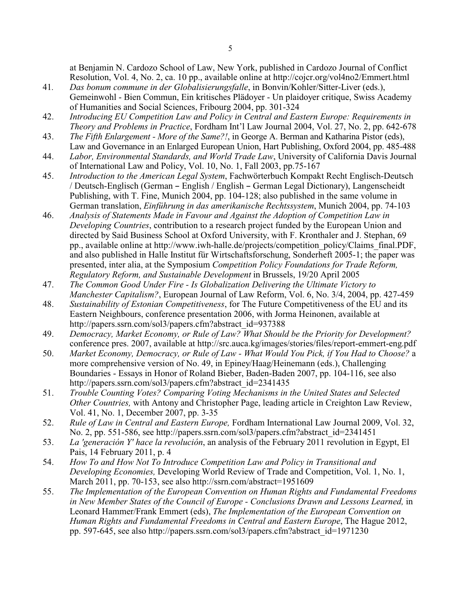at Benjamin N. Cardozo School of Law, New York, published in Cardozo Journal of Conflict Resolution, Vol. 4, No. 2, ca. 10 pp., available online at http://cojcr.org/vol4no2/Emmert.html

- 41*. Das bonum commune in der Globalisierungsfalle*, in Bonvin/Kohler/Sitter-Liver (eds.), Gemeinwohl - Bien Commun, Ein kritisches Plädoyer - Un plaidoyer critique, Swiss Academy of Humanities and Social Sciences, Fribourg 2004, pp. 301-324
- 42. *Introducing EU Competition Law and Policy in Central and Eastern Europe: Requirements in Theory and Problems in Practice*, Fordham Int'l Law Journal 2004, Vol. 27, No. 2, pp. 642-678
- 43. *The Fifth Enlargement - More of the Same?!*, in George A. Berman and Katharina Pistor (eds), Law and Governance in an Enlarged European Union, Hart Publishing, Oxford 2004, pp. 485-488
- 44. *Labor, Environmental Standards, and World Trade Law*, University of California Davis Journal of International Law and Policy, Vol. 10, No. 1, Fall 2003, pp.75-167
- 45. *Introduction to the American Legal System*, Fachwörterbuch Kompakt Recht Englisch-Deutsch / Deutsch-Englisch (German – English / English – German Legal Dictionary), Langenscheidt Publishing, with T. Fine, Munich 2004, pp. 104-128; also published in the same volume in German translation, *Einführung in das amerikanische Rechtssystem*, Munich 2004, pp. 74-103
- 46. *Analysis of Statements Made in Favour and Against the Adoption of Competition Law in Developing Countries*, contribution to a research project funded by the European Union and directed by Said Business School at Oxford University, with F. Kronthaler and J. Stephan, 69 pp., available online at http://www.iwh-halle.de/projects/competition\_policy/Claims\_final.PDF, and also published in Halle Institut für Wirtschaftsforschung, Sonderheft 2005-1; the paper was presented, inter alia, at the Symposium *Competition Policy Foundations for Trade Reform, Regulatory Reform, and Sustainable Development* in Brussels, 19/20 April 2005
- 47. *The Common Good Under Fire Is Globalization Delivering the Ultimate Victory to Manchester Capitalism?*, European Journal of Law Reform, Vol. 6, No. 3/4, 2004, pp. 427-459
- 48. *Sustainability of Estonian Competitiveness*, for The Future Competitiveness of the EU and its Eastern Neighbours, conference presentation 2006, with Jorma Heinonen, available at http://papers.ssrn.com/sol3/papers.cfm?abstract\_id=937388
- 49. *Democracy, Market Economy, or Rule of Law? What Should be the Priority for Development?* conference pres. 2007, available at http://src.auca.kg/images/stories/files/report-emmert-eng.pdf
- 50. *Market Economy, Democracy, or Rule of Law What Would You Pick, if You Had to Choose?* a more comprehensive version of No. 49, in Epiney/Haag/Heinemann (eds.), Challenging Boundaries - Essays in Honor of Roland Bieber, Baden-Baden 2007, pp. 104-116, see also http://papers.ssrn.com/sol3/papers.cfm?abstract\_id=2341435
- 51. *Trouble Counting Votes? Comparing Voting Mechanisms in the United States and Selected Other Countries,* with Antony and Christopher Page, leading article in Creighton Law Review, Vol. 41, No. 1, December 2007, pp. 3-35
- 52. *Rule of Law in Central and Eastern Europe,* Fordham International Law Journal 2009, Vol. 32, No. 2, pp. 551-586, see http://papers.ssrn.com/sol3/papers.cfm?abstract\_id=2341451
- 53. *La 'generación Y' hace la revolución*, an analysis of the February 2011 revolution in Egypt, El Pais, 14 February 2011, p. 4
- 54. *How To and How Not To Introduce Competition Law and Policy in Transitional and Developing Economies,* Developing World Review of Trade and Competition, Vol. 1, No. 1, March 2011, pp. 70-153, see also http://ssrn.com/abstract=1951609
- 55. *The Implementation of the European Convention on Human Rights and Fundamental Freedoms in New Member States of the Council of Europe - Conclusions Drawn and Lessons Learned,* in Leonard Hammer/Frank Emmert (eds), *The Implementation of the European Convention on Human Rights and Fundamental Freedoms in Central and Eastern Europe*, The Hague 2012, pp. 597-645, see also http://papers.ssrn.com/sol3/papers.cfm?abstract\_id=1971230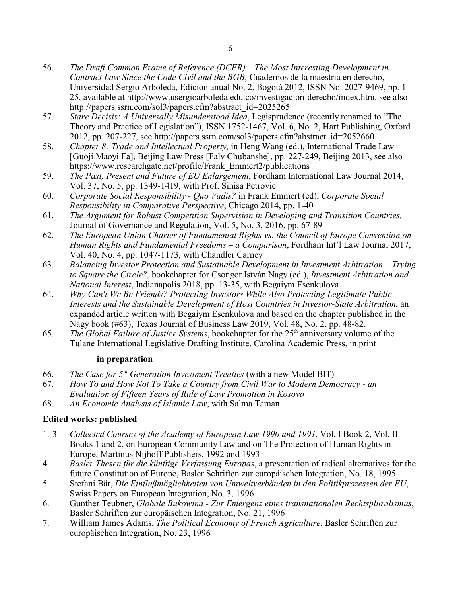- 56. *The Draft Common Frame of Reference (DCFR) The Most Interesting Development in Contract Law Since the Code Civil and the BGB*, Cuadernos de la maestría en derecho, Universidad Sergio Arboleda, Edición anual No. 2, Bogotá 2012, ISSN No. 2027-9469, pp. 1- 25, available at http://www.usergioarboleda.edu.co/investigacion-derecho/index.htm, see also http://papers.ssrn.com/sol3/papers.cfm?abstract\_id=2025265
- 57. *Stare Decisis: A Universally Misunderstood Idea*, Legisprudence (recently renamed to "The Theory and Practice of Legislation"), ISSN 1752-1467, Vol. 6, No. 2, Hart Publishing, Oxford 2012, pp. 207-227, see http://papers.ssrn.com/sol3/papers.cfm?abstract\_id=2052660
- 58. *Chapter 8: Trade and Intellectual Property,* in Heng Wang (ed.), International Trade Law [Guoji Maoyi Fa], Beijing Law Press [Falv Chubanshe], pp. 227-249, Beijing 2013, see also https://www.researchgate.net/profile/Frank\_Emmert2/publications
- 59. *The Past, Present and Future of EU Enlargement*, Fordham International Law Journal 2014, Vol. 37, No. 5, pp. 1349-1419, with Prof. Sinisa Petrovic
- 60. *Corporate Social Responsibility Quo Vadis?* in Frank Emmert (ed), *Corporate Social Responsibility in Comparative Perspective*, Chicago 2014, pp. 1-40
- 61. *The Argument for Robust Competition Supervision in Developing and Transition Countries,* Journal of Governance and Regulation, Vol. 5, No. 3, 2016, pp. 67-89
- 62. *The European Union Charter of Fundamental Rights vs. the Council of Europe Convention on Human Rights and Fundamental Freedoms – a Comparison*, Fordham Int'l Law Journal 2017, Vol. 40, No. 4, pp. 1047-1173, with Chandler Carney
- 63. *Balancing Investor Protection and Sustainable Development in Investment Arbitration Trying to Square the Circle?,* bookchapter for Csongor István Nagy (ed.), *Investment Arbitration and National Interest*, Indianapolis 2018, pp. 13-35, with Begaiym Esenkulova
- 64. *Why Can't We Be Friends? Protecting Investors While Also Protecting Legitimate Public Interests and the Sustainable Development of Host Countries in Investor-State Arbitration*, an expanded article written with Begaiym Esenkulova and based on the chapter published in the Nagy book (#63), Texas Journal of Business Law 2019, Vol. 48, No. 2, pp. 48-82.
- 65. *The Global Failure of Justice Systems*, bookchapter for the 25th anniversary volume of the Tulane International Legislative Drafting Institute, Carolina Academic Press, in print

## **in preparation**

- 66. *The Case for 5th Generation Investment Treaties* (with a new Model BIT)
- 67. *How To and How Not To Take a Country from Civil War to Modern Democracy an*
- *Evaluation of Fifteen Years of Rule of Law Promotion in Kosovo*
- 68. *An Economic Analysis of Islamic Law*, with Salma Taman

# **Edited works: published**

- 1.-3. *Collected Courses of the Academy of European Law 1990 and 1991*, Vol. I Book 2, Vol. II Books 1 and 2, on European Community Law and on The Protection of Human Rights in Europe, Martinus Nijhoff Publishers, 1992 and 1993
- 4. *Basler Thesen für die künftige Verfassung Europas*, a presentation of radical alternatives for the future Constitution of Europe, Basler Schriften zur europäischen Integration, No. 18, 1995
- 5. Stefani Bär, *Die Einflußmöglichkeiten von Umweltverbänden in den Politikprozessen der EU*, Swiss Papers on European Integration, No. 3, 1996
- 6. Gunther Teubner, *Globale Bukowina Zur Emergenz eines transnationalen Rechtspluralismus*, Basler Schriften zur europäischen Integration, No. 21, 1996
- 7. William James Adams, *The Political Economy of French Agriculture*, Basler Schriften zur europäischen Integration, No. 23, 1996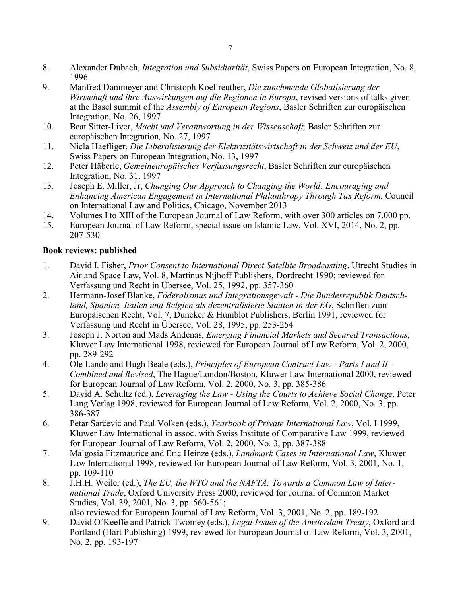- 8. Alexander Dubach, *Integration und Subsidiarität*, Swiss Papers on European Integration, No. 8, 1996
- 9. Manfred Dammeyer and Christoph Koellreuther, *Die zunehmende Globalisierung der Wirtschaft und ihre Auswirkungen auf die Regionen in Europa*, revised versions of talks given at the Basel summit of the *Assembly of European Regions*, Basler Schriften zur europäischen Integration*,* No. 26, 1997
- 10. Beat Sitter-Liver, *Macht und Verantwortung in der Wissenschaft,* Basler Schriften zur europäischen Integration*,* No. 27, 1997
- 11. Nicla Haefliger, *Die Liberalisierung der Elektrizitätswirtschaft in der Schweiz und der EU*, Swiss Papers on European Integration, No. 13, 1997
- 12. Peter Häberle, *Gemeineuropäisches Verfassungsrecht*, Basler Schriften zur europäischen Integration, No. 31, 1997
- 13. Joseph E. Miller, Jr, *Changing Our Approach to Changing the World: Encouraging and Enhancing American Engagement in International Philanthropy Through Tax Reform*, Council on International Law and Politics, Chicago, November 2013
- 14. Volumes I to XIII of the European Journal of Law Reform, with over 300 articles on 7,000 pp.
- 15. European Journal of Law Reform, special issue on Islamic Law, Vol. XVI, 2014, No. 2, pp. 207-530

# **Book reviews: published**

- 1. David I. Fisher, *Prior Consent to International Direct Satellite Broadcasting*, Utrecht Studies in Air and Space Law, Vol. 8, Martinus Nijhoff Publishers, Dordrecht 1990; reviewed for Verfassung und Recht in Übersee, Vol. 25, 1992, pp. 357-360
- 2. Hermann-Josef Blanke, *Föderalismus und Integrationsgewalt Die Bundesrepublik Deutschland, Spanien, Italien und Belgien als dezentralisierte Staaten in der EG*, Schriften zum Europäischen Recht, Vol. 7, Duncker & Humblot Publishers, Berlin 1991, reviewed for Verfassung und Recht in Übersee, Vol. 28, 1995, pp. 253-254
- 3. Joseph J. Norton and Mads Andenas, *Emerging Financial Markets and Secured Transactions*, Kluwer Law International 1998, reviewed for European Journal of Law Reform, Vol. 2, 2000, pp. 289-292
- 4. Ole Lando and Hugh Beale (eds.), *Principles of European Contract Law Parts I and II - Combined and Revised*, The Hague/London/Boston, Kluwer Law International 2000, reviewed for European Journal of Law Reform, Vol. 2, 2000, No. 3, pp. 385-386
- 5. David A. Schultz (ed.), *Leveraging the Law Using the Courts to Achieve Social Change*, Peter Lang Verlag 1998, reviewed for European Journal of Law Reform, Vol. 2, 2000, No. 3, pp. 386-387
- 6. Petar Šarčević and Paul Volken (eds.), *Yearbook of Private International Law*, Vol. I 1999, Kluwer Law International in assoc. with Swiss Institute of Comparative Law 1999, reviewed for European Journal of Law Reform, Vol. 2, 2000, No. 3, pp. 387-388
- 7. Malgosia Fitzmaurice and Eric Heinze (eds.), *Landmark Cases in International Law*, Kluwer Law International 1998, reviewed for European Journal of Law Reform, Vol. 3, 2001, No. 1, pp. 109-110
- 8. J.H.H. Weiler (ed.), *The EU, the WTO and the NAFTA: Towards a Common Law of International Trade*, Oxford University Press 2000, reviewed for Journal of Common Market Studies, Vol. 39, 2001, No. 3, pp. 560-561;

also reviewed for European Journal of Law Reform, Vol. 3, 2001, No. 2, pp. 189-192 9. David O´Keeffe and Patrick Twomey (eds.), *Legal Issues of the Amsterdam Treaty*, Oxford and

Portland (Hart Publishing) 1999, reviewed for European Journal of Law Reform, Vol. 3, 2001, No. 2, pp. 193-197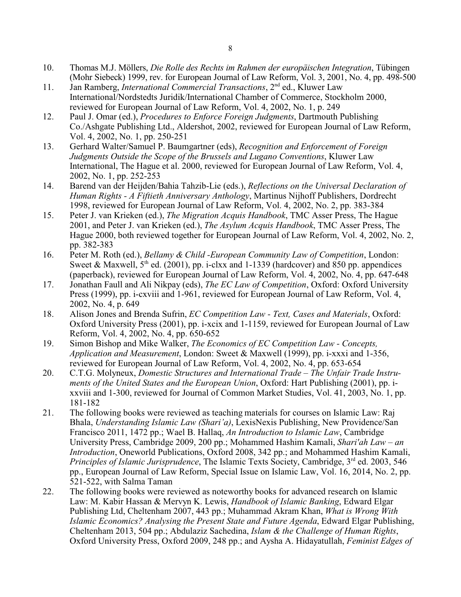- 10. Thomas M.J. Möllers, *Die Rolle des Rechts im Rahmen der europäischen Integration*, Tübingen (Mohr Siebeck) 1999, rev. for European Journal of Law Reform, Vol. 3, 2001, No. 4, pp. 498-500
- 11. Jan Ramberg, *International Commercial Transactions*, 2<sup>nd</sup> ed., Kluwer Law International/Nordstedts Juridik/International Chamber of Commerce, Stockholm 2000, reviewed for European Journal of Law Reform, Vol. 4, 2002, No. 1, p. 249
- 12. Paul J. Omar (ed.), *Procedures to Enforce Foreign Judgments*, Dartmouth Publishing Co./Ashgate Publishing Ltd., Aldershot, 2002, reviewed for European Journal of Law Reform, Vol. 4, 2002, No. 1, pp. 250-251
- 13. Gerhard Walter/Samuel P. Baumgartner (eds), *Recognition and Enforcement of Foreign Judgments Outside the Scope of the Brussels and Lugano Conventions*, Kluwer Law International, The Hague et al. 2000, reviewed for European Journal of Law Reform, Vol. 4, 2002, No. 1, pp. 252-253
- 14. Barend van der Heijden/Bahia Tahzib-Lie (eds.), *Reflections on the Universal Declaration of Human Rights - A Fiftieth Anniversary Anthology*, Martinus Nijhoff Publishers, Dordrecht 1998, reviewed for European Journal of Law Reform, Vol. 4, 2002, No. 2, pp. 383-384
- 15. Peter J. van Krieken (ed.), *The Migration Acquis Handbook*, TMC Asser Press, The Hague 2001, and Peter J. van Krieken (ed.), *The Asylum Acquis Handbook*, TMC Asser Press, The Hague 2000, both reviewed together for European Journal of Law Reform, Vol. 4, 2002, No. 2, pp. 382-383
- 16. Peter M. Roth (ed.), *Bellamy & Child -European Community Law of Competition*, London: Sweet & Maxwell,  $5<sup>th</sup>$  ed. (2001), pp. i-clxx and 1-1339 (hardcover) and 850 pp. appendices (paperback), reviewed for European Journal of Law Reform, Vol. 4, 2002, No. 4, pp. 647-648
- 17. Jonathan Faull and Ali Nikpay (eds), *The EC Law of Competition*, Oxford: Oxford University Press (1999), pp. i-cxviii and 1-961, reviewed for European Journal of Law Reform, Vol. 4, 2002, No. 4, p. 649
- 18. Alison Jones and Brenda Sufrin, *EC Competition Law Text, Cases and Materials*, Oxford: Oxford University Press (2001), pp. i-xcix and 1-1159, reviewed for European Journal of Law Reform, Vol. 4, 2002, No. 4, pp. 650-652
- 19. Simon Bishop and Mike Walker, *The Economics of EC Competition Law Concepts, Application and Measurement*, London: Sweet & Maxwell (1999), pp. i-xxxi and 1-356, reviewed for European Journal of Law Reform, Vol. 4, 2002, No. 4, pp. 653-654
- 20. C.T.G. Molyneux, *Domestic Structures and International Trade The Unfair Trade Instruments of the United States and the European Union*, Oxford: Hart Publishing (2001), pp. ixxviii and 1-300, reviewed for Journal of Common Market Studies, Vol. 41, 2003, No. 1, pp. 181-182
- 21. The following books were reviewed as teaching materials for courses on Islamic Law: Raj Bhala, *Understanding Islamic Law (Shari'a)*, LexisNexis Publishing, New Providence/San Francisco 2011, 1472 pp.; Wael B. Hallaq, *An Introduction to Islamic Law*, Cambridge University Press, Cambridge 2009, 200 pp.; Mohammed Hashim Kamali, *Shari'ah Law – an Introduction*, Oneworld Publications, Oxford 2008, 342 pp.; and Mohammed Hashim Kamali, Principles of Islamic Jurisprudence, The Islamic Texts Society, Cambridge, 3<sup>rd</sup> ed. 2003, 546 pp., European Journal of Law Reform, Special Issue on Islamic Law, Vol. 16, 2014, No. 2, pp. 521-522, with Salma Taman
- 22. The following books were reviewed as noteworthy books for advanced research on Islamic Law: M. Kabir Hassan & Mervyn K. Lewis, *Handbook of Islamic Banking*, Edward Elgar Publishing Ltd, Cheltenham 2007, 443 pp.; Muhammad Akram Khan, *What is Wrong With Islamic Economics? Analysing the Present State and Future Agenda*, Edward Elgar Publishing, Cheltenham 2013, 504 pp.; Abdulaziz Sachedina, *Islam & the Challenge of Human Rights*, Oxford University Press, Oxford 2009, 248 pp.; and Aysha A. Hidayatullah, *Feminist Edges of*